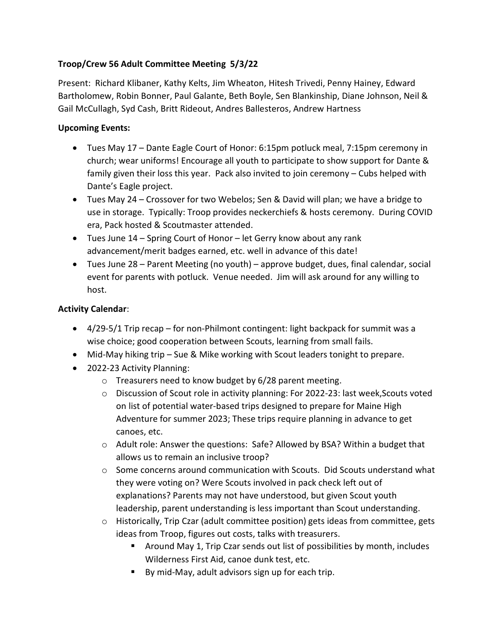## Troop/Crew 56 Adult Committee Meeting 5/3/22

Present: Richard Klibaner, Kathy Kelts, Jim Wheaton, Hitesh Trivedi, Penny Hainey, Edward Bartholomew, Robin Bonner, Paul Galante, Beth Boyle, Sen Blankinship, Diane Johnson, Neil & Gail McCullagh, Syd Cash, Britt Rideout, Andres Ballesteros, Andrew Hartness

## Upcoming Events:

- Tues May 17 Dante Eagle Court of Honor: 6:15pm potluck meal, 7:15pm ceremony in church; wear uniforms! Encourage all youth to participate to show support for Dante & family given their loss this year. Pack also invited to join ceremony – Cubs helped with Dante's Eagle project.
- Tues May 24 Crossover for two Webelos; Sen & David will plan; we have a bridge to use in storage. Typically: Troop provides neckerchiefs & hosts ceremony. During COVID era, Pack hosted & Scoutmaster attended.
- Tues June 14 Spring Court of Honor let Gerry know about any rank advancement/merit badges earned, etc. well in advance of this date!
- Tues June 28 Parent Meeting (no youth) approve budget, dues, final calendar, social event for parents with potluck. Venue needed. Jim will ask around for any willing to host.

## Activity Calendar:

- 4/29-5/1 Trip recap for non-Philmont contingent: light backpack for summit was a wise choice; good cooperation between Scouts, learning from small fails.
- Mid-May hiking trip Sue & Mike working with Scout leaders tonight to prepare.
- 2022-23 Activity Planning:
	- o Treasurers need to know budget by 6/28 parent meeting.
	- $\circ$  Discussion of Scout role in activity planning: For 2022-23: last week, Scouts voted on list of potential water-based trips designed to prepare for Maine High Adventure for summer 2023; These trips require planning in advance to get canoes, etc.
	- o Adult role: Answer the questions: Safe? Allowed by BSA? Within a budget that allows us to remain an inclusive troop?
	- $\circ$  Some concerns around communication with Scouts. Did Scouts understand what they were voting on? Were Scouts involved in pack check left out of explanations? Parents may not have understood, but given Scout youth leadership, parent understanding is less important than Scout understanding.
	- $\circ$  Historically, Trip Czar (adult committee position) gets ideas from committee, gets ideas from Troop, figures out costs, talks with treasurers.
		- Around May 1, Trip Czar sends out list of possibilities by month, includes Wilderness First Aid, canoe dunk test, etc.
		- By mid-May, adult advisors sign up for each trip.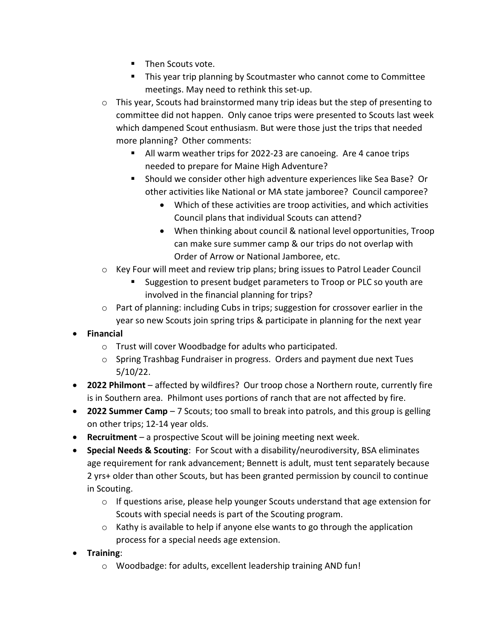- **Then Scouts vote.**
- This year trip planning by Scoutmaster who cannot come to Committee meetings. May need to rethink this set-up.
- o This year, Scouts had brainstormed many trip ideas but the step of presenting to committee did not happen. Only canoe trips were presented to Scouts last week which dampened Scout enthusiasm. But were those just the trips that needed more planning? Other comments:
	- All warm weather trips for 2022-23 are canoeing. Are 4 canoe trips needed to prepare for Maine High Adventure?
	- Should we consider other high adventure experiences like Sea Base? Or other activities like National or MA state jamboree? Council camporee?
		- Which of these activities are troop activities, and which activities Council plans that individual Scouts can attend?
		- When thinking about council & national level opportunities, Troop can make sure summer camp & our trips do not overlap with Order of Arrow or National Jamboree, etc.
- o Key Four will meet and review trip plans; bring issues to Patrol Leader Council
	- Suggestion to present budget parameters to Troop or PLC so youth are involved in the financial planning for trips?
- $\circ$  Part of planning: including Cubs in trips; suggestion for crossover earlier in the year so new Scouts join spring trips & participate in planning for the next year
- Financial
	- o Trust will cover Woodbadge for adults who participated.
	- o Spring Trashbag Fundraiser in progress. Orders and payment due next Tues 5/10/22.
- 2022 Philmont affected by wildfires? Our troop chose a Northern route, currently fire is in Southern area. Philmont uses portions of ranch that are not affected by fire.
- **2022 Summer Camp**  $-7$  Scouts; too small to break into patrols, and this group is gelling on other trips; 12-14 year olds.
- Recruitment a prospective Scout will be joining meeting next week.
- Special Needs & Scouting: For Scout with a disability/neurodiversity, BSA eliminates age requirement for rank advancement; Bennett is adult, must tent separately because 2 yrs+ older than other Scouts, but has been granted permission by council to continue in Scouting.
	- o If questions arise, please help younger Scouts understand that age extension for Scouts with special needs is part of the Scouting program.
	- $\circ$  Kathy is available to help if anyone else wants to go through the application process for a special needs age extension.
- **•** Training:
	- o Woodbadge: for adults, excellent leadership training AND fun!